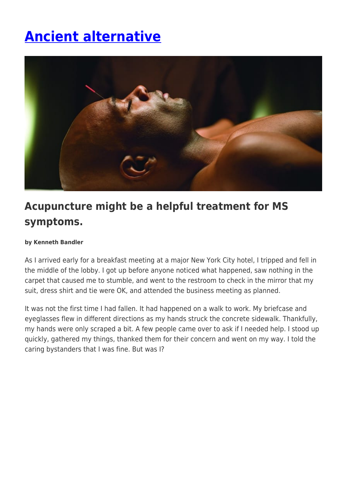# **[Ancient alternative](https://momentummagazineonline.com/ancient-alternative/)**



# **Acupuncture might be a helpful treatment for MS symptoms.**

#### **by Kenneth Bandler**

As I arrived early for a breakfast meeting at a major New York City hotel, I tripped and fell in the middle of the lobby. I got up before anyone noticed what happened, saw nothing in the carpet that caused me to stumble, and went to the restroom to check in the mirror that my suit, dress shirt and tie were OK, and attended the business meeting as planned.

It was not the first time I had fallen. It had happened on a walk to work. My briefcase and eyeglasses flew in different directions as my hands struck the concrete sidewalk. Thankfully, my hands were only scraped a bit. A few people came over to ask if I needed help. I stood up quickly, gathered my things, thanked them for their concern and went on my way. I told the caring bystanders that I was fine. But was I?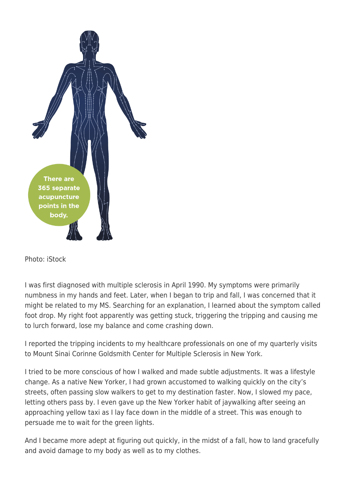

Photo: iStock

I was first diagnosed with multiple sclerosis in April 1990. My symptoms were primarily numbness in my hands and feet. Later, when I began to trip and fall, I was concerned that it might be related to my MS. Searching for an explanation, I learned about the symptom called foot drop. My right foot apparently was getting stuck, triggering the tripping and causing me to lurch forward, lose my balance and come crashing down.

I reported the tripping incidents to my healthcare professionals on one of my quarterly visits to Mount Sinai Corinne Goldsmith Center for Multiple Sclerosis in New York.

I tried to be more conscious of how I walked and made subtle adjustments. It was a lifestyle change. As a native New Yorker, I had grown accustomed to walking quickly on the city's streets, often passing slow walkers to get to my destination faster. Now, I slowed my pace, letting others pass by. I even gave up the New Yorker habit of jaywalking after seeing an approaching yellow taxi as I lay face down in the middle of a street. This was enough to persuade me to wait for the green lights.

And I became more adept at figuring out quickly, in the midst of a fall, how to land gracefully and avoid damage to my body as well as to my clothes.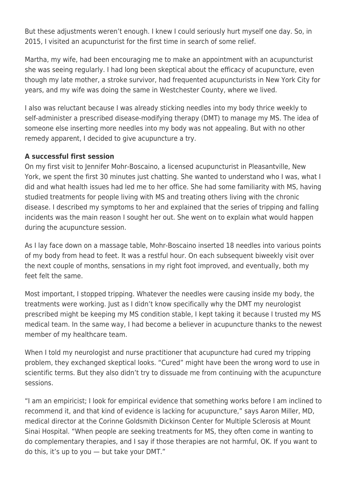But these adjustments weren't enough. I knew I could seriously hurt myself one day. So, in 2015, I visited an acupuncturist for the first time in search of some relief.

Martha, my wife, had been encouraging me to make an appointment with an acupuncturist she was seeing regularly. I had long been skeptical about the efficacy of acupuncture, even though my late mother, a stroke survivor, had frequented acupuncturists in New York City for years, and my wife was doing the same in Westchester County, where we lived.

I also was reluctant because I was already sticking needles into my body thrice weekly to self-administer a prescribed disease-modifying therapy (DMT) to manage my MS. The idea of someone else inserting more needles into my body was not appealing. But with no other remedy apparent, I decided to give acupuncture a try.

# **A successful first session**

On my first visit to Jennifer Mohr-Boscaino, a licensed acupuncturist in Pleasantville, New York, we spent the first 30 minutes just chatting. She wanted to understand who I was, what I did and what health issues had led me to her office. She had some familiarity with MS, having studied treatments for people living with MS and treating others living with the chronic disease. I described my symptoms to her and explained that the series of tripping and falling incidents was the main reason I sought her out. She went on to explain what would happen during the acupuncture session.

As I lay face down on a massage table, Mohr-Boscaino inserted 18 needles into various points of my body from head to feet. It was a restful hour. On each subsequent biweekly visit over the next couple of months, sensations in my right foot improved, and eventually, both my feet felt the same.

Most important, I stopped tripping. Whatever the needles were causing inside my body, the treatments were working. Just as I didn't know specifically why the DMT my neurologist prescribed might be keeping my MS condition stable, I kept taking it because I trusted my MS medical team. In the same way, I had become a believer in acupuncture thanks to the newest member of my healthcare team.

When I told my neurologist and nurse practitioner that acupuncture had cured my tripping problem, they exchanged skeptical looks. "Cured" might have been the wrong word to use in scientific terms. But they also didn't try to dissuade me from continuing with the acupuncture sessions.

"I am an empiricist; I look for empirical evidence that something works before I am inclined to recommend it, and that kind of evidence is lacking for acupuncture," says Aaron Miller, MD, medical director at the Corinne Goldsmith Dickinson Center for Multiple Sclerosis at Mount Sinai Hospital. "When people are seeking treatments for MS, they often come in wanting to do complementary therapies, and I say if those therapies are not harmful, OK. If you want to do this, it's up to you — but take your DMT."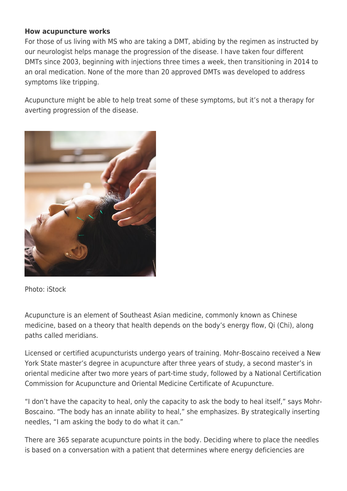# **How acupuncture works**

For those of us living with MS who are taking a DMT, abiding by the regimen as instructed by our neurologist helps manage the progression of the disease. I have taken four different DMTs since 2003, beginning with injections three times a week, then transitioning in 2014 to an oral medication. None of the more than 20 approved DMTs was developed to address symptoms like tripping.

Acupuncture might be able to help treat some of these symptoms, but it's not a therapy for averting progression of the disease.



Photo: iStock

Acupuncture is an element of Southeast Asian medicine, commonly known as Chinese medicine, based on a theory that health depends on the body's energy flow, Qi (Chi), along paths called meridians.

Licensed or certified acupuncturists undergo years of training. Mohr-Boscaino received a New York State master's degree in acupuncture after three years of study, a second master's in oriental medicine after two more years of part-time study, followed by a National Certification Commission for Acupuncture and Oriental Medicine Certificate of Acupuncture.

"I don't have the capacity to heal, only the capacity to ask the body to heal itself," says Mohr-Boscaino. "The body has an innate ability to heal," she emphasizes. By strategically inserting needles, "I am asking the body to do what it can."

There are 365 separate acupuncture points in the body. Deciding where to place the needles is based on a conversation with a patient that determines where energy deficiencies are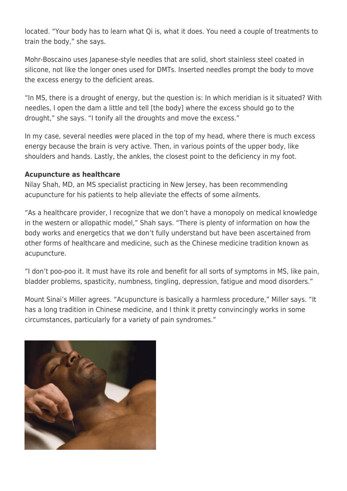located. "Your body has to learn what Qi is, what it does. You need a couple of treatments to train the body," she says.

Mohr-Boscaino uses Japanese-style needles that are solid, short stainless steel coated in silicone, not like the longer ones used for DMTs. Inserted needles prompt the body to move the excess energy to the deficient areas.

"In MS, there is a drought of energy, but the question is: In which meridian is it situated? With needles, I open the dam a little and tell [the body] where the excess should go to the drought," she says. "I tonify all the droughts and move the excess."

In my case, several needles were placed in the top of my head, where there is much excess energy because the brain is very active. Then, in various points of the upper body, like shoulders and hands. Lastly, the ankles, the closest point to the deficiency in my foot.

### **Acupuncture as healthcare**

Nilay Shah, MD, an MS specialist practicing in New Jersey, has been recommending acupuncture for his patients to help alleviate the effects of some ailments.

"As a healthcare provider, I recognize that we don't have a monopoly on medical knowledge in the western or allopathic model," Shah says. "There is plenty of information on how the body works and energetics that we don't fully understand but have been ascertained from other forms of healthcare and medicine, such as the Chinese medicine tradition known as acupuncture.

"I don't poo-poo it. It must have its role and benefit for all sorts of symptoms in MS, like pain, bladder problems, spasticity, numbness, tingling, depression, fatigue and mood disorders."

Mount Sinai's Miller agrees. "Acupuncture is basically a harmless procedure," Miller says. "It has a long tradition in Chinese medicine, and I think it pretty convincingly works in some circumstances, particularly for a variety of pain syndromes."

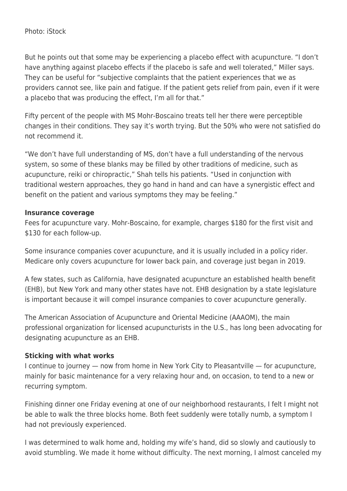### Photo: iStock

But he points out that some may be experiencing a placebo effect with acupuncture. "I don't have anything against placebo effects if the placebo is safe and well tolerated," Miller says. They can be useful for "subjective complaints that the patient experiences that we as providers cannot see, like pain and fatigue. If the patient gets relief from pain, even if it were a placebo that was producing the effect, I'm all for that."

Fifty percent of the people with MS Mohr-Boscaino treats tell her there were perceptible changes in their conditions. They say it's worth trying. But the 50% who were not satisfied do not recommend it.

"We don't have full understanding of MS, don't have a full understanding of the nervous system, so some of these blanks may be filled by other traditions of medicine, such as acupuncture, reiki or chiropractic," Shah tells his patients. "Used in conjunction with traditional western approaches, they go hand in hand and can have a synergistic effect and benefit on the patient and various symptoms they may be feeling."

#### **Insurance coverage**

Fees for acupuncture vary. Mohr-Boscaino, for example, charges \$180 for the first visit and \$130 for each follow-up.

Some insurance companies cover acupuncture, and it is usually included in a policy rider. Medicare only covers acupuncture for lower back pain, and coverage just began in 2019.

A few states, such as California, have designated acupuncture an established health benefit (EHB), but New York and many other states have not. EHB designation by a state legislature is important because it will compel insurance companies to cover acupuncture generally.

The American Association of Acupuncture and Oriental Medicine (AAAOM), the main professional organization for licensed acupuncturists in the U.S., has long been advocating for designating acupuncture as an EHB.

#### **Sticking with what works**

I continue to journey — now from home in New York City to Pleasantville — for acupuncture, mainly for basic maintenance for a very relaxing hour and, on occasion, to tend to a new or recurring symptom.

Finishing dinner one Friday evening at one of our neighborhood restaurants, I felt I might not be able to walk the three blocks home. Both feet suddenly were totally numb, a symptom I had not previously experienced.

I was determined to walk home and, holding my wife's hand, did so slowly and cautiously to avoid stumbling. We made it home without difficulty. The next morning, I almost canceled my